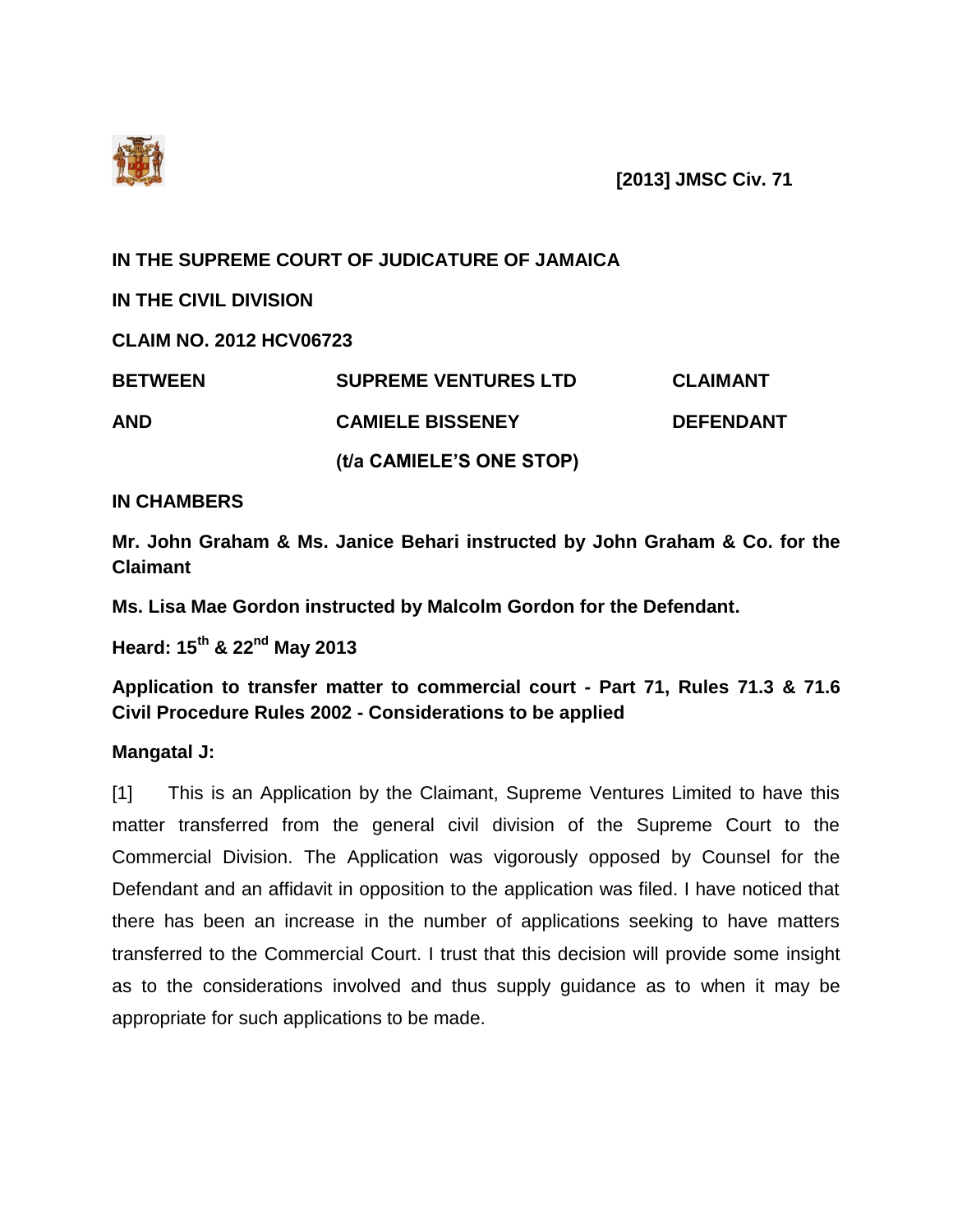

**[2013] JMSC Civ. 71**

**IN THE SUPREME COURT OF JUDICATURE OF JAMAICA**

**IN THE CIVIL DIVISION**

**CLAIM NO. 2012 HCV06723**

| <b>BETWEEN</b> | <b>SUPREME VENTURES LTD</b> | <b>CLAIMANT</b>  |
|----------------|-----------------------------|------------------|
| AND            | <b>CAMIELE BISSENEY</b>     | <b>DEFENDANT</b> |
|                | (t/a CAMIELE'S ONE STOP)    |                  |

## **IN CHAMBERS**

**Mr. John Graham & Ms. Janice Behari instructed by John Graham & Co. for the Claimant**

**Ms. Lisa Mae Gordon instructed by Malcolm Gordon for the Defendant.**

**Heard: 15th & 22nd May 2013**

**Application to transfer matter to commercial court - Part 71, Rules 71.3 & 71.6 Civil Procedure Rules 2002 - Considerations to be applied**

**Mangatal J:**

[1] This is an Application by the Claimant, Supreme Ventures Limited to have this matter transferred from the general civil division of the Supreme Court to the Commercial Division. The Application was vigorously opposed by Counsel for the Defendant and an affidavit in opposition to the application was filed. I have noticed that there has been an increase in the number of applications seeking to have matters transferred to the Commercial Court. I trust that this decision will provide some insight as to the considerations involved and thus supply guidance as to when it may be appropriate for such applications to be made.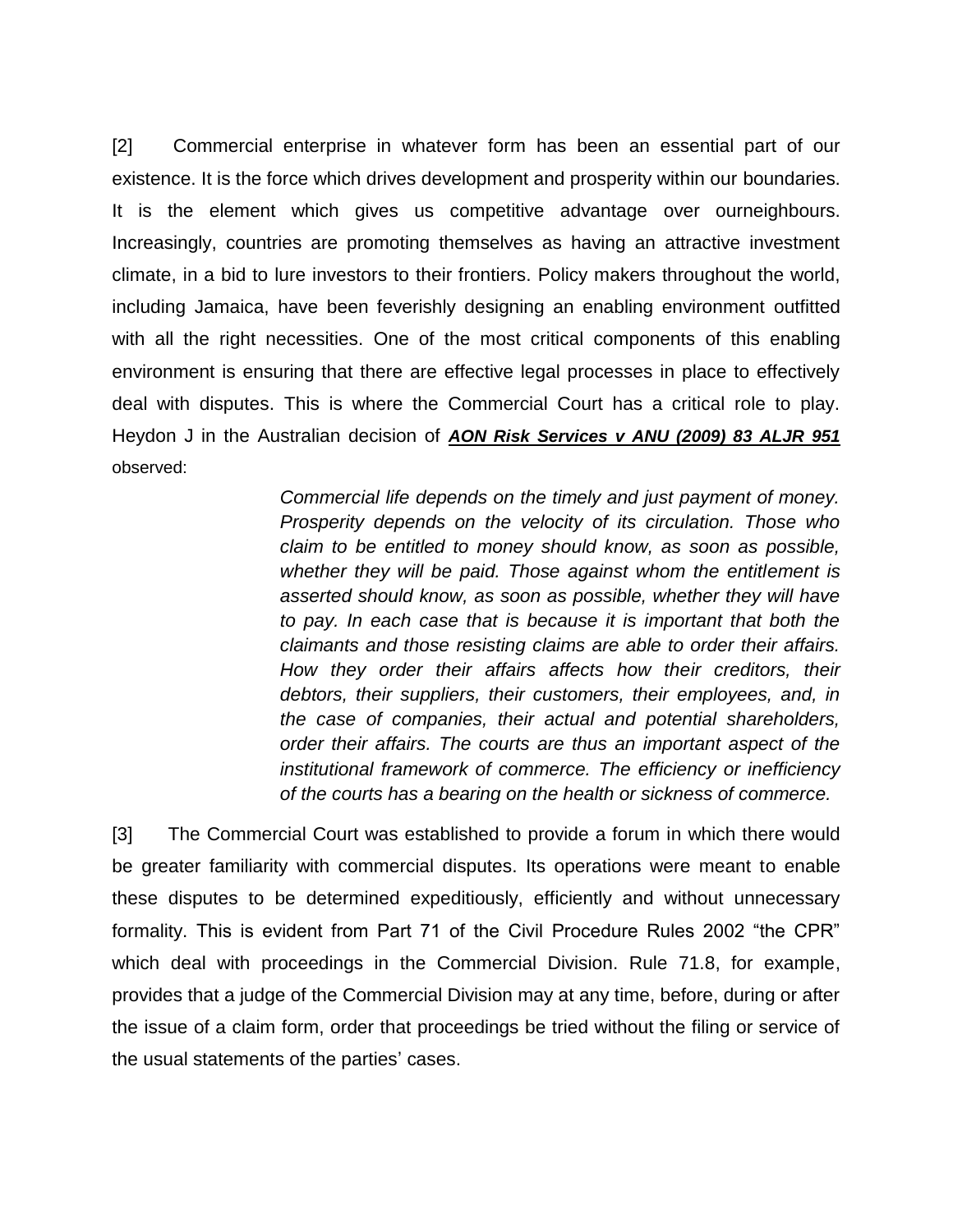[2] Commercial enterprise in whatever form has been an essential part of our existence. It is the force which drives development and prosperity within our boundaries. It is the element which gives us competitive advantage over ourneighbours. Increasingly, countries are promoting themselves as having an attractive investment climate, in a bid to lure investors to their frontiers. Policy makers throughout the world, including Jamaica, have been feverishly designing an enabling environment outfitted with all the right necessities. One of the most critical components of this enabling environment is ensuring that there are effective legal processes in place to effectively deal with disputes. This is where the Commercial Court has a critical role to play. Heydon J in the Australian decision of *AON Risk Services v ANU (2009) 83 ALJR 951* observed:

> *Commercial life depends on the timely and just payment of money. Prosperity depends on the velocity of its circulation. Those who claim to be entitled to money should know, as soon as possible, whether they will be paid. Those against whom the entitlement is asserted should know, as soon as possible, whether they will have to pay. In each case that is because it is important that both the claimants and those resisting claims are able to order their affairs. How they order their affairs affects how their creditors, their debtors, their suppliers, their customers, their employees, and, in the case of companies, their actual and potential shareholders, order their affairs. The courts are thus an important aspect of the institutional framework of commerce. The efficiency or inefficiency of the courts has a bearing on the health or sickness of commerce.*

[3] The Commercial Court was established to provide a forum in which there would be greater familiarity with commercial disputes. Its operations were meant to enable these disputes to be determined expeditiously, efficiently and without unnecessary formality. This is evident from Part 71 of the Civil Procedure Rules 2002 "the CPR" which deal with proceedings in the Commercial Division. Rule 71.8, for example, provides that a judge of the Commercial Division may at any time, before, during or after the issue of a claim form, order that proceedings be tried without the filing or service of the usual statements of the parties' cases.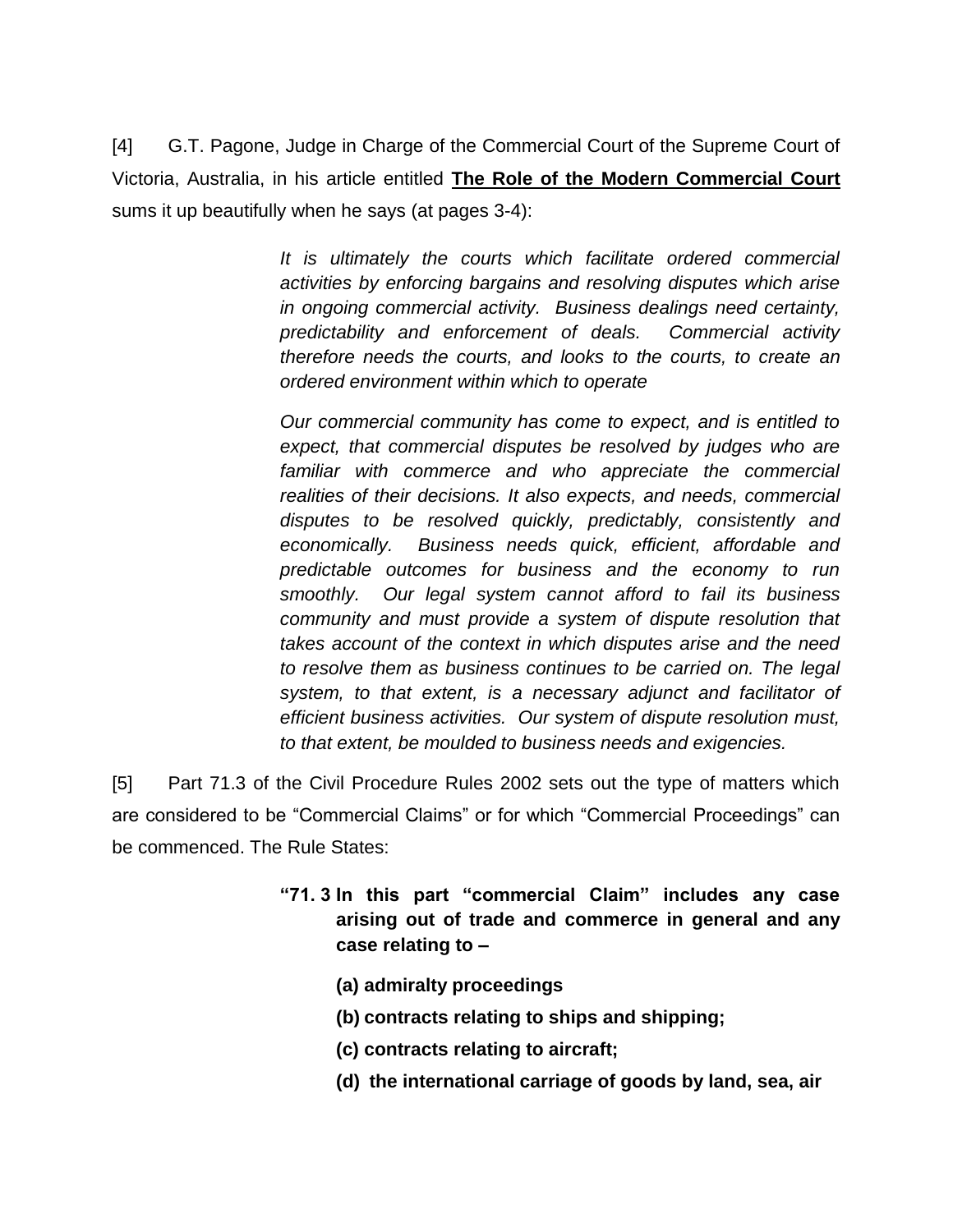[4] G.T. Pagone, Judge in Charge of the Commercial Court of the Supreme Court of Victoria, Australia, in his article entitled **The Role of the Modern Commercial Court** sums it up beautifully when he says (at pages 3-4):

> *It is ultimately the courts which facilitate ordered commercial activities by enforcing bargains and resolving disputes which arise in ongoing commercial activity. Business dealings need certainty, predictability and enforcement of deals. Commercial activity therefore needs the courts, and looks to the courts, to create an ordered environment within which to operate*

> *Our commercial community has come to expect, and is entitled to expect, that commercial disputes be resolved by judges who are familiar with commerce and who appreciate the commercial realities of their decisions. It also expects, and needs, commercial disputes to be resolved quickly, predictably, consistently and economically. Business needs quick, efficient, affordable and predictable outcomes for business and the economy to run smoothly. Our legal system cannot afford to fail its business community and must provide a system of dispute resolution that takes account of the context in which disputes arise and the need to resolve them as business continues to be carried on. The legal system, to that extent, is a necessary adjunct and facilitator of efficient business activities. Our system of dispute resolution must, to that extent, be moulded to business needs and exigencies.*

[5] Part 71.3 of the Civil Procedure Rules 2002 sets out the type of matters which are considered to be "Commercial Claims" or for which "Commercial Proceedings" can be commenced. The Rule States:

- **"71. 3 In this part "commercial Claim" includes any case arising out of trade and commerce in general and any case relating to –**
	- **(a) admiralty proceedings**
	- **(b) contracts relating to ships and shipping;**
	- **(c) contracts relating to aircraft;**
	- **(d) the international carriage of goods by land, sea, air**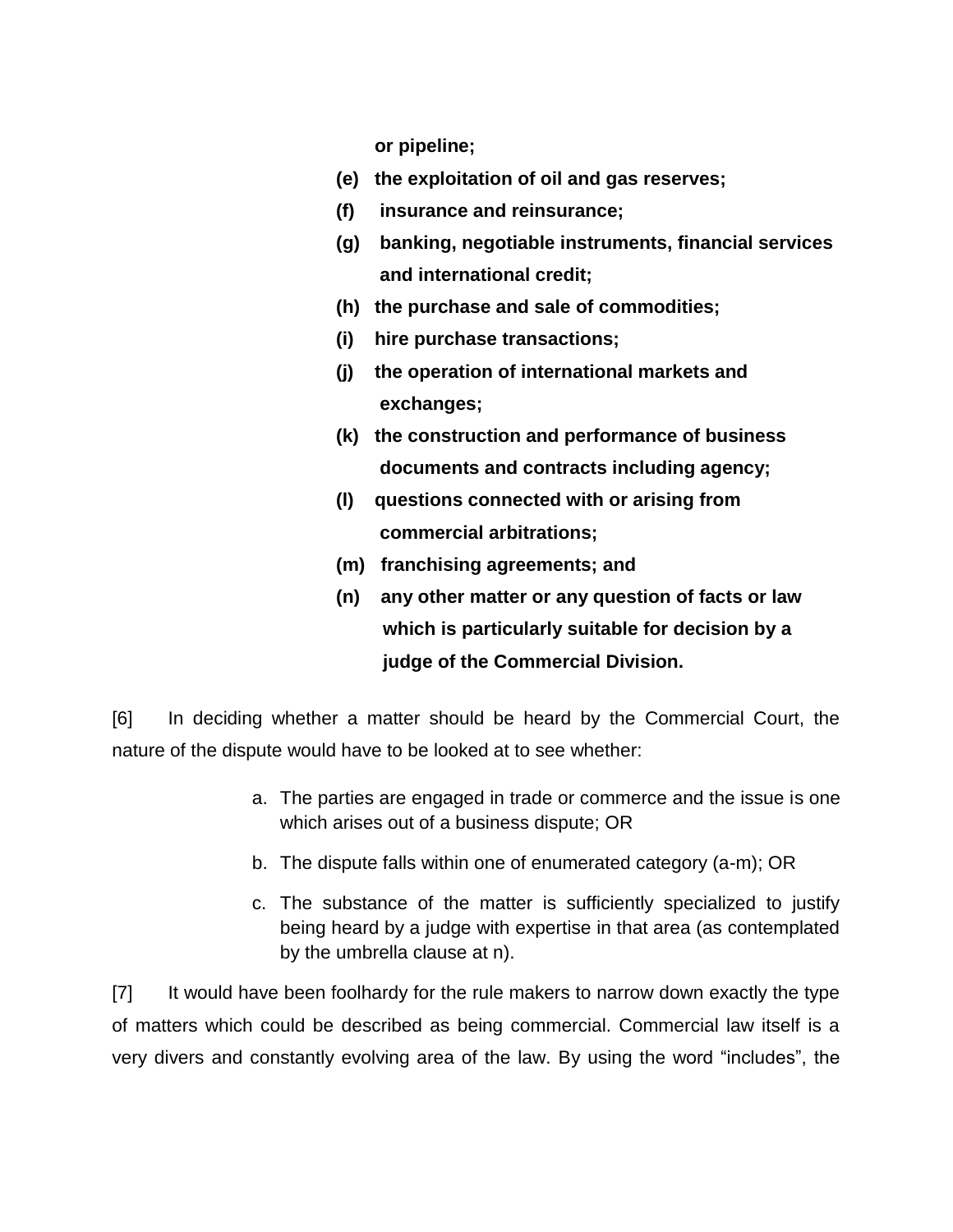**or pipeline;** 

- **(e) the exploitation of oil and gas reserves;**
- **(f) insurance and reinsurance;**
- **(g) banking, negotiable instruments, financial services and international credit;**
- **(h) the purchase and sale of commodities;**
- **(i) hire purchase transactions;**
- **(j) the operation of international markets and exchanges;**
- **(k) the construction and performance of business documents and contracts including agency;**
- **(l) questions connected with or arising from commercial arbitrations;**
- **(m) franchising agreements; and**
- **(n) any other matter or any question of facts or law which is particularly suitable for decision by a judge of the Commercial Division.**

[6] In deciding whether a matter should be heard by the Commercial Court, the nature of the dispute would have to be looked at to see whether:

- a. The parties are engaged in trade or commerce and the issue is one which arises out of a business dispute; OR
- b. The dispute falls within one of enumerated category (a-m); OR
- c. The substance of the matter is sufficiently specialized to justify being heard by a judge with expertise in that area (as contemplated by the umbrella clause at n).

[7] It would have been foolhardy for the rule makers to narrow down exactly the type of matters which could be described as being commercial. Commercial law itself is a very divers and constantly evolving area of the law. By using the word "includes", the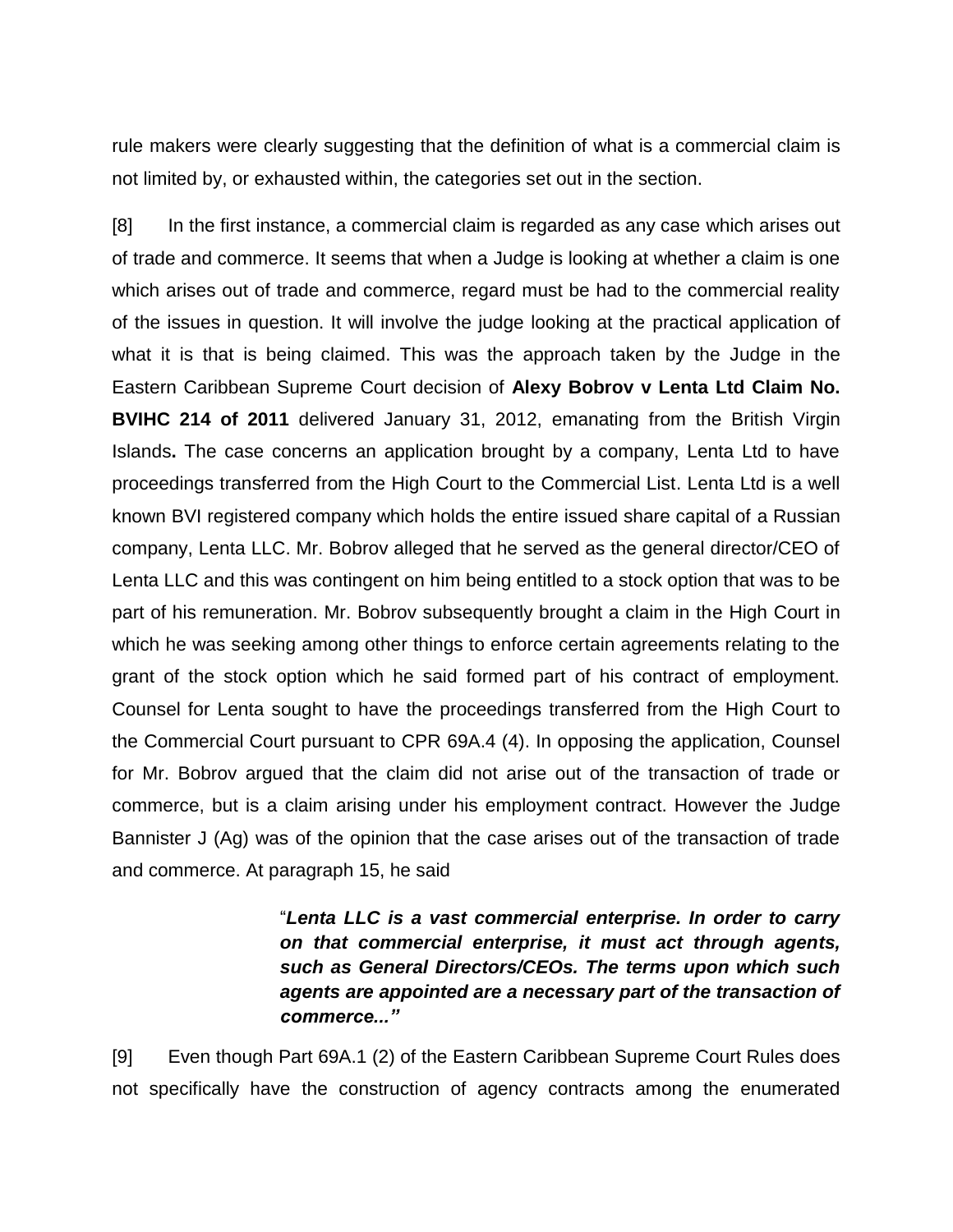rule makers were clearly suggesting that the definition of what is a commercial claim is not limited by, or exhausted within, the categories set out in the section.

[8] In the first instance, a commercial claim is regarded as any case which arises out of trade and commerce. It seems that when a Judge is looking at whether a claim is one which arises out of trade and commerce, regard must be had to the commercial reality of the issues in question. It will involve the judge looking at the practical application of what it is that is being claimed. This was the approach taken by the Judge in the Eastern Caribbean Supreme Court decision of **Alexy Bobrov v Lenta Ltd Claim No. BVIHC 214 of 2011** delivered January 31, 2012, emanating from the British Virgin Islands**.** The case concerns an application brought by a company, Lenta Ltd to have proceedings transferred from the High Court to the Commercial List. Lenta Ltd is a well known BVI registered company which holds the entire issued share capital of a Russian company, Lenta LLC. Mr. Bobrov alleged that he served as the general director/CEO of Lenta LLC and this was contingent on him being entitled to a stock option that was to be part of his remuneration. Mr. Bobrov subsequently brought a claim in the High Court in which he was seeking among other things to enforce certain agreements relating to the grant of the stock option which he said formed part of his contract of employment. Counsel for Lenta sought to have the proceedings transferred from the High Court to the Commercial Court pursuant to CPR 69A.4 (4). In opposing the application, Counsel for Mr. Bobrov argued that the claim did not arise out of the transaction of trade or commerce, but is a claim arising under his employment contract. However the Judge Bannister J (Ag) was of the opinion that the case arises out of the transaction of trade and commerce. At paragraph 15, he said

> "*Lenta LLC is a vast commercial enterprise. In order to carry on that commercial enterprise, it must act through agents, such as General Directors/CEOs. The terms upon which such agents are appointed are a necessary part of the transaction of commerce..."*

[9] Even though Part 69A.1 (2) of the Eastern Caribbean Supreme Court Rules does not specifically have the construction of agency contracts among the enumerated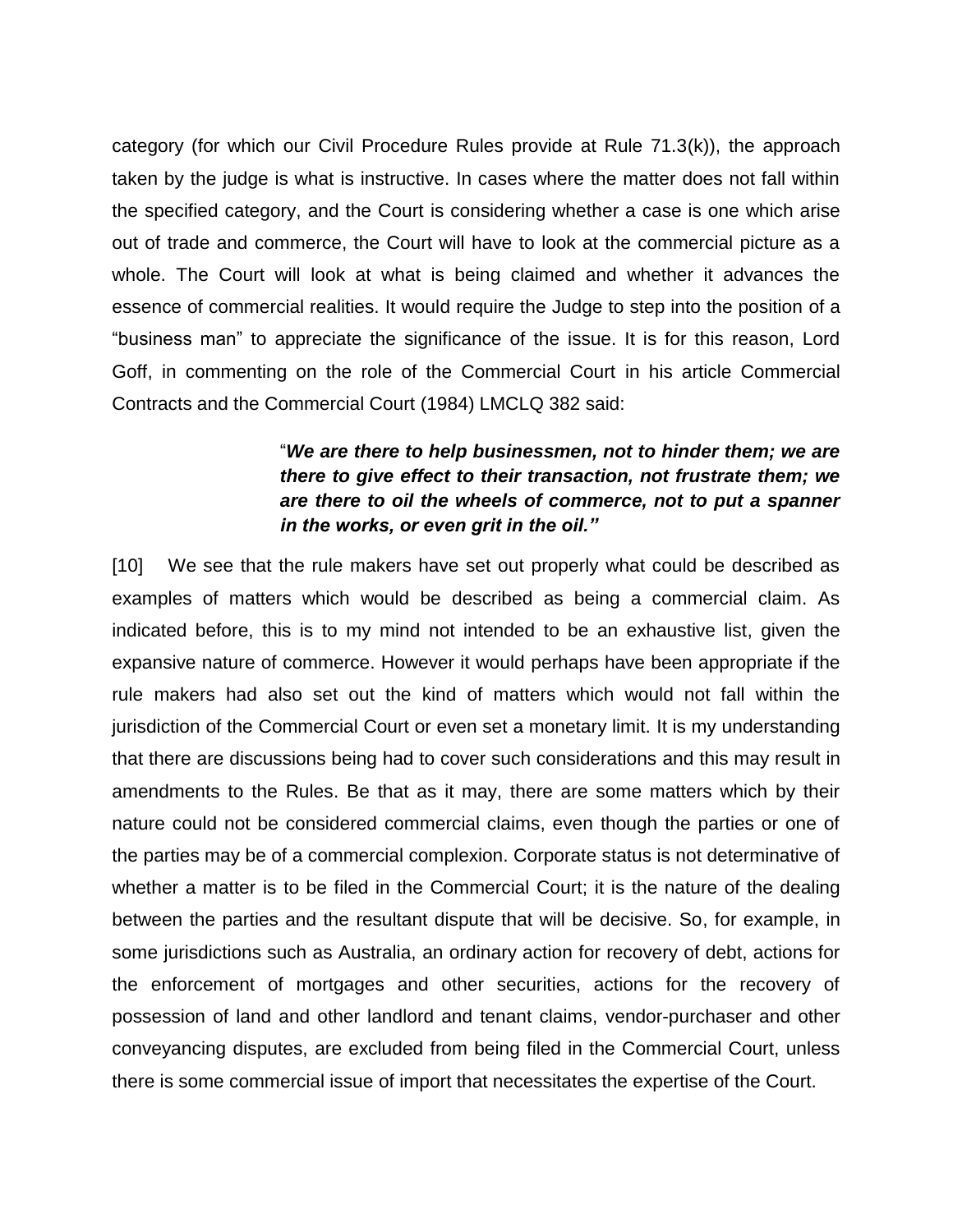category (for which our Civil Procedure Rules provide at Rule 71.3(k)), the approach taken by the judge is what is instructive. In cases where the matter does not fall within the specified category, and the Court is considering whether a case is one which arise out of trade and commerce, the Court will have to look at the commercial picture as a whole. The Court will look at what is being claimed and whether it advances the essence of commercial realities. It would require the Judge to step into the position of a "business man" to appreciate the significance of the issue. It is for this reason, Lord Goff, in commenting on the role of the Commercial Court in his article Commercial Contracts and the Commercial Court (1984) LMCLQ 382 said:

## "*We are there to help businessmen, not to hinder them; we are there to give effect to their transaction, not frustrate them; we are there to oil the wheels of commerce, not to put a spanner in the works, or even grit in the oil."*

[10] We see that the rule makers have set out properly what could be described as examples of matters which would be described as being a commercial claim. As indicated before, this is to my mind not intended to be an exhaustive list, given the expansive nature of commerce. However it would perhaps have been appropriate if the rule makers had also set out the kind of matters which would not fall within the jurisdiction of the Commercial Court or even set a monetary limit. It is my understanding that there are discussions being had to cover such considerations and this may result in amendments to the Rules. Be that as it may, there are some matters which by their nature could not be considered commercial claims, even though the parties or one of the parties may be of a commercial complexion. Corporate status is not determinative of whether a matter is to be filed in the Commercial Court; it is the nature of the dealing between the parties and the resultant dispute that will be decisive. So, for example, in some jurisdictions such as Australia, an ordinary action for recovery of debt, actions for the enforcement of mortgages and other securities, actions for the recovery of possession of land and other landlord and tenant claims, vendor-purchaser and other conveyancing disputes, are excluded from being filed in the Commercial Court, unless there is some commercial issue of import that necessitates the expertise of the Court.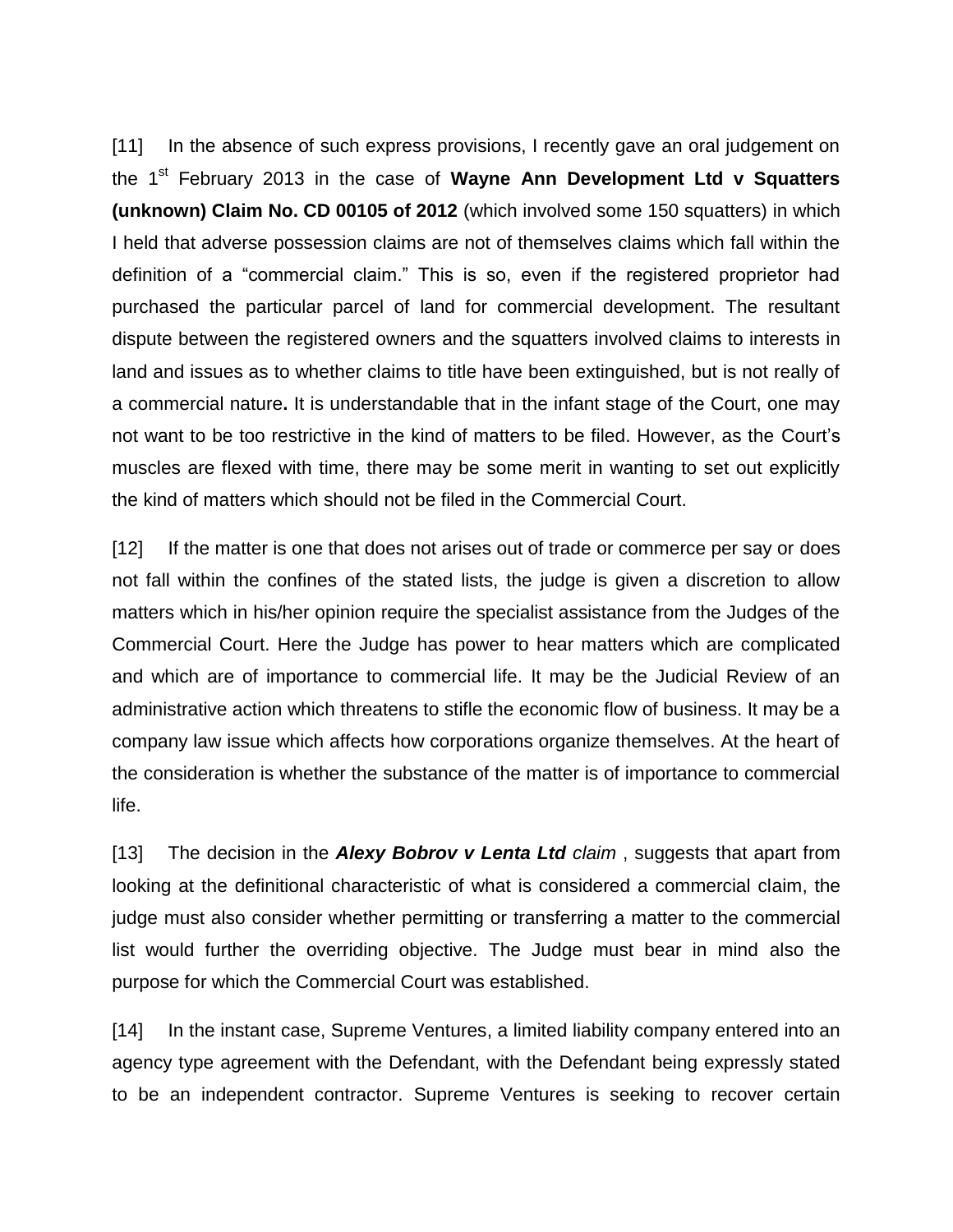[11] In the absence of such express provisions, I recently gave an oral judgement on the 1st February 2013 in the case of **Wayne Ann Development Ltd v Squatters (unknown) Claim No. CD 00105 of 2012** (which involved some 150 squatters) in which I held that adverse possession claims are not of themselves claims which fall within the definition of a "commercial claim." This is so, even if the registered proprietor had purchased the particular parcel of land for commercial development. The resultant dispute between the registered owners and the squatters involved claims to interests in land and issues as to whether claims to title have been extinguished, but is not really of a commercial nature**.** It is understandable that in the infant stage of the Court, one may not want to be too restrictive in the kind of matters to be filed. However, as the Court's muscles are flexed with time, there may be some merit in wanting to set out explicitly the kind of matters which should not be filed in the Commercial Court.

[12] If the matter is one that does not arises out of trade or commerce per say or does not fall within the confines of the stated lists, the judge is given a discretion to allow matters which in his/her opinion require the specialist assistance from the Judges of the Commercial Court. Here the Judge has power to hear matters which are complicated and which are of importance to commercial life. It may be the Judicial Review of an administrative action which threatens to stifle the economic flow of business. It may be a company law issue which affects how corporations organize themselves. At the heart of the consideration is whether the substance of the matter is of importance to commercial life.

[13] The decision in the *Alexy Bobrov v Lenta Ltd claim* , suggests that apart from looking at the definitional characteristic of what is considered a commercial claim, the judge must also consider whether permitting or transferring a matter to the commercial list would further the overriding objective. The Judge must bear in mind also the purpose for which the Commercial Court was established.

[14] In the instant case, Supreme Ventures, a limited liability company entered into an agency type agreement with the Defendant, with the Defendant being expressly stated to be an independent contractor. Supreme Ventures is seeking to recover certain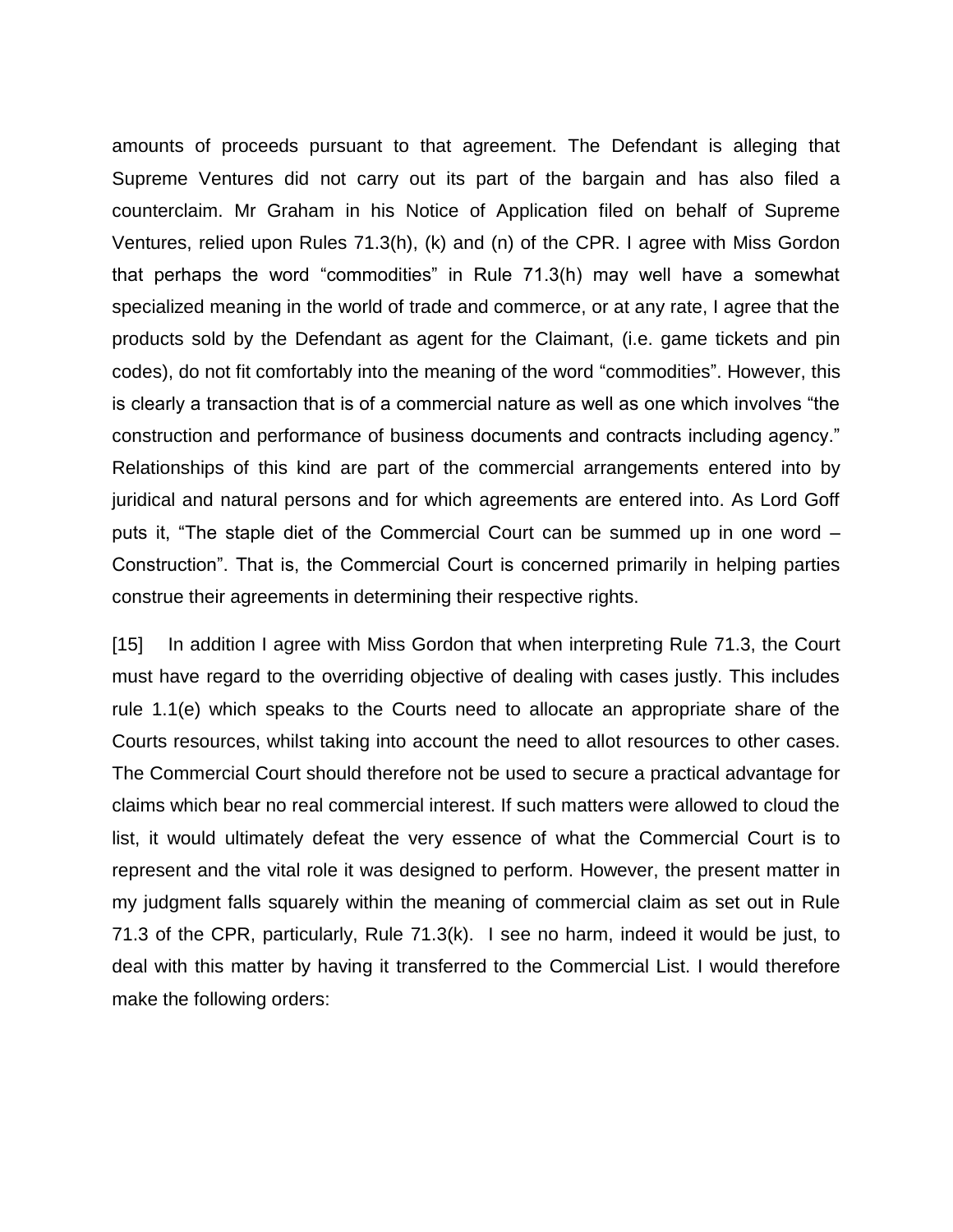amounts of proceeds pursuant to that agreement. The Defendant is alleging that Supreme Ventures did not carry out its part of the bargain and has also filed a counterclaim. Mr Graham in his Notice of Application filed on behalf of Supreme Ventures, relied upon Rules 71.3(h), (k) and (n) of the CPR. I agree with Miss Gordon that perhaps the word "commodities" in Rule 71.3(h) may well have a somewhat specialized meaning in the world of trade and commerce, or at any rate, I agree that the products sold by the Defendant as agent for the Claimant, (i.e. game tickets and pin codes), do not fit comfortably into the meaning of the word "commodities". However, this is clearly a transaction that is of a commercial nature as well as one which involves "the construction and performance of business documents and contracts including agency." Relationships of this kind are part of the commercial arrangements entered into by juridical and natural persons and for which agreements are entered into. As Lord Goff puts it, "The staple diet of the Commercial Court can be summed up in one word – Construction". That is, the Commercial Court is concerned primarily in helping parties construe their agreements in determining their respective rights.

[15] In addition I agree with Miss Gordon that when interpreting Rule 71.3, the Court must have regard to the overriding objective of dealing with cases justly. This includes rule 1.1(e) which speaks to the Courts need to allocate an appropriate share of the Courts resources, whilst taking into account the need to allot resources to other cases. The Commercial Court should therefore not be used to secure a practical advantage for claims which bear no real commercial interest. If such matters were allowed to cloud the list, it would ultimately defeat the very essence of what the Commercial Court is to represent and the vital role it was designed to perform. However, the present matter in my judgment falls squarely within the meaning of commercial claim as set out in Rule 71.3 of the CPR, particularly, Rule 71.3(k). I see no harm, indeed it would be just, to deal with this matter by having it transferred to the Commercial List. I would therefore make the following orders: